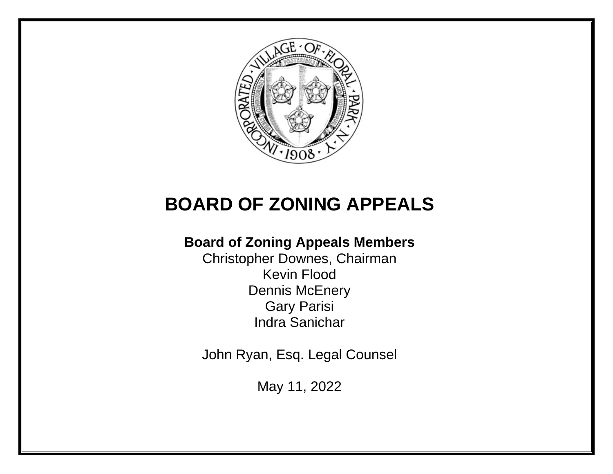

# **BOARD OF ZONING APPEALS**

## **Board of Zoning Appeals Members**

Christopher Downes, Chairman Kevin Flood Dennis McEnery Gary Parisi Indra Sanichar

John Ryan, Esq. Legal Counsel

May 11, 2022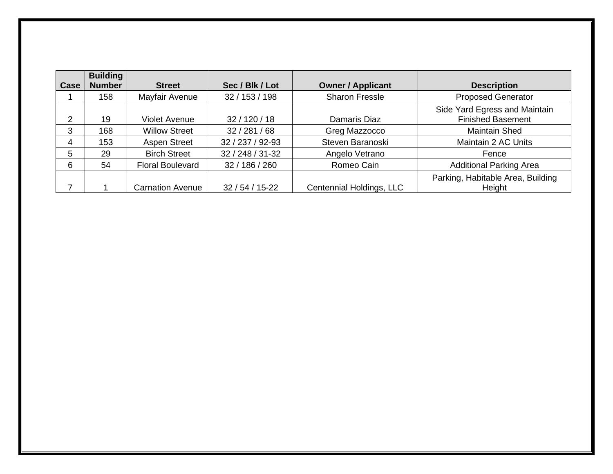|               | <b>Building</b> |                         |                  |                          |                                                           |
|---------------|-----------------|-------------------------|------------------|--------------------------|-----------------------------------------------------------|
| Case          | <b>Number</b>   | <b>Street</b>           | Sec / Blk / Lot  | <b>Owner / Applicant</b> | <b>Description</b>                                        |
|               | 158             | Mayfair Avenue          | 32 / 153 / 198   | <b>Sharon Fressle</b>    | <b>Proposed Generator</b>                                 |
| $\mathcal{P}$ | 19              | Violet Avenue           | 32 / 120 / 18    | Damaris Diaz             | Side Yard Egress and Maintain<br><b>Finished Basement</b> |
| 3             | 168             | <b>Willow Street</b>    | 32 / 281 / 68    | Greg Mazzocco            | <b>Maintain Shed</b>                                      |
| 4             | 153             | <b>Aspen Street</b>     | 32 / 237 / 92-93 | Steven Baranoski         | Maintain 2 AC Units                                       |
| 5             | 29              | <b>Birch Street</b>     | 32 / 248 / 31-32 | Angelo Vetrano           | Fence                                                     |
| 6             | 54              | <b>Floral Boulevard</b> | 32 / 186 / 260   | Romeo Cain               | <b>Additional Parking Area</b>                            |
|               |                 | <b>Carnation Avenue</b> | $32/54/15-22$    | Centennial Holdings, LLC | Parking, Habitable Area, Building<br>Height               |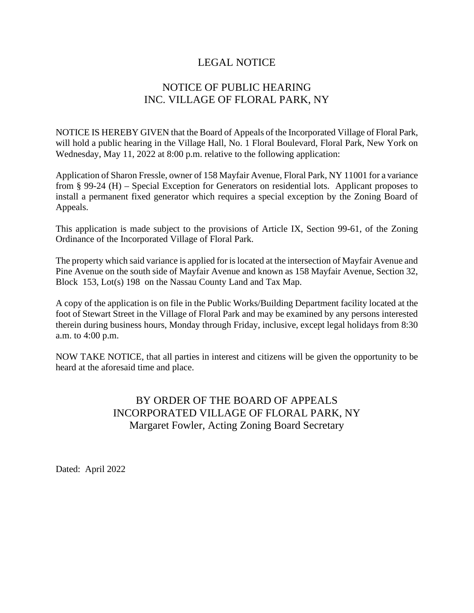## NOTICE OF PUBLIC HEARING INC. VILLAGE OF FLORAL PARK, NY

NOTICE IS HEREBY GIVEN that the Board of Appeals of the Incorporated Village of Floral Park, will hold a public hearing in the Village Hall, No. 1 Floral Boulevard, Floral Park, New York on Wednesday, May 11, 2022 at 8:00 p.m. relative to the following application:

Application of Sharon Fressle, owner of 158 Mayfair Avenue, Floral Park, NY 11001 for a variance from § 99-24 (H) – Special Exception for Generators on residential lots. Applicant proposes to install a permanent fixed generator which requires a special exception by the Zoning Board of Appeals.

This application is made subject to the provisions of Article IX, Section 99-61, of the Zoning Ordinance of the Incorporated Village of Floral Park.

The property which said variance is applied for islocated at the intersection of Mayfair Avenue and Pine Avenue on the south side of Mayfair Avenue and known as 158 Mayfair Avenue, Section 32, Block 153, Lot(s) 198 on the Nassau County Land and Tax Map.

A copy of the application is on file in the Public Works/Building Department facility located at the foot of Stewart Street in the Village of Floral Park and may be examined by any persons interested therein during business hours, Monday through Friday, inclusive, except legal holidays from 8:30 a.m. to 4:00 p.m.

NOW TAKE NOTICE, that all parties in interest and citizens will be given the opportunity to be heard at the aforesaid time and place.

## BY ORDER OF THE BOARD OF APPEALS INCORPORATED VILLAGE OF FLORAL PARK, NY Margaret Fowler, Acting Zoning Board Secretary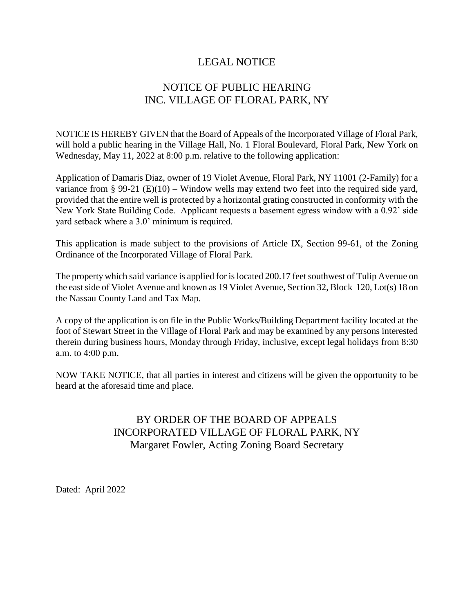## NOTICE OF PUBLIC HEARING INC. VILLAGE OF FLORAL PARK, NY

NOTICE IS HEREBY GIVEN that the Board of Appeals of the Incorporated Village of Floral Park, will hold a public hearing in the Village Hall, No. 1 Floral Boulevard, Floral Park, New York on Wednesday, May 11, 2022 at 8:00 p.m. relative to the following application:

Application of Damaris Diaz, owner of 19 Violet Avenue, Floral Park, NY 11001 (2-Family) for a variance from § 99-21 (E)(10) – Window wells may extend two feet into the required side yard, provided that the entire well is protected by a horizontal grating constructed in conformity with the New York State Building Code. Applicant requests a basement egress window with a 0.92' side yard setback where a 3.0' minimum is required.

This application is made subject to the provisions of Article IX, Section 99-61, of the Zoning Ordinance of the Incorporated Village of Floral Park.

The property which said variance is applied for is located 200.17 feet southwest of Tulip Avenue on the east side of Violet Avenue and known as 19 Violet Avenue, Section 32, Block 120, Lot(s) 18 on the Nassau County Land and Tax Map.

A copy of the application is on file in the Public Works/Building Department facility located at the foot of Stewart Street in the Village of Floral Park and may be examined by any persons interested therein during business hours, Monday through Friday, inclusive, except legal holidays from 8:30 a.m. to 4:00 p.m.

NOW TAKE NOTICE, that all parties in interest and citizens will be given the opportunity to be heard at the aforesaid time and place.

## BY ORDER OF THE BOARD OF APPEALS INCORPORATED VILLAGE OF FLORAL PARK, NY Margaret Fowler, Acting Zoning Board Secretary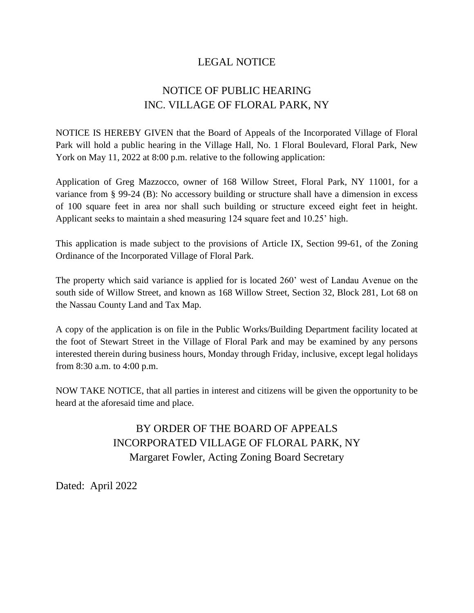## NOTICE OF PUBLIC HEARING INC. VILLAGE OF FLORAL PARK, NY

NOTICE IS HEREBY GIVEN that the Board of Appeals of the Incorporated Village of Floral Park will hold a public hearing in the Village Hall, No. 1 Floral Boulevard, Floral Park, New York on May 11, 2022 at 8:00 p.m. relative to the following application:

Application of Greg Mazzocco, owner of 168 Willow Street, Floral Park, NY 11001, for a variance from § 99-24 (B): No accessory building or structure shall have a dimension in excess of 100 square feet in area nor shall such building or structure exceed eight feet in height. Applicant seeks to maintain a shed measuring 124 square feet and 10.25' high.

This application is made subject to the provisions of Article IX, Section 99-61, of the Zoning Ordinance of the Incorporated Village of Floral Park.

The property which said variance is applied for is located 260' west of Landau Avenue on the south side of Willow Street, and known as 168 Willow Street, Section 32, Block 281, Lot 68 on the Nassau County Land and Tax Map.

A copy of the application is on file in the Public Works/Building Department facility located at the foot of Stewart Street in the Village of Floral Park and may be examined by any persons interested therein during business hours, Monday through Friday, inclusive, except legal holidays from 8:30 a.m. to 4:00 p.m.

NOW TAKE NOTICE, that all parties in interest and citizens will be given the opportunity to be heard at the aforesaid time and place.

> BY ORDER OF THE BOARD OF APPEALS INCORPORATED VILLAGE OF FLORAL PARK, NY Margaret Fowler, Acting Zoning Board Secretary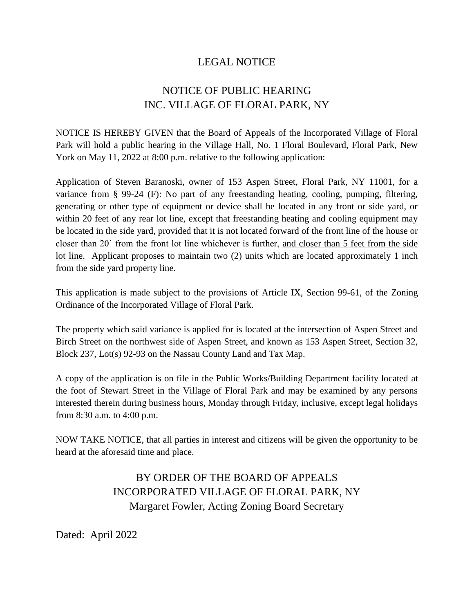## NOTICE OF PUBLIC HEARING INC. VILLAGE OF FLORAL PARK, NY

NOTICE IS HEREBY GIVEN that the Board of Appeals of the Incorporated Village of Floral Park will hold a public hearing in the Village Hall, No. 1 Floral Boulevard, Floral Park, New York on May 11, 2022 at 8:00 p.m. relative to the following application:

Application of Steven Baranoski, owner of 153 Aspen Street, Floral Park, NY 11001, for a variance from § 99-24 (F): No part of any freestanding heating, cooling, pumping, filtering, generating or other type of equipment or device shall be located in any front or side yard, or within 20 feet of any rear lot line, except that freestanding heating and cooling equipment may be located in the side yard, provided that it is not located forward of the front line of the house or closer than 20' from the front lot line whichever is further, and closer than 5 feet from the side lot line. Applicant proposes to maintain two (2) units which are located approximately 1 inch from the side yard property line.

This application is made subject to the provisions of Article IX, Section 99-61, of the Zoning Ordinance of the Incorporated Village of Floral Park.

The property which said variance is applied for is located at the intersection of Aspen Street and Birch Street on the northwest side of Aspen Street, and known as 153 Aspen Street, Section 32, Block 237, Lot(s) 92-93 on the Nassau County Land and Tax Map.

A copy of the application is on file in the Public Works/Building Department facility located at the foot of Stewart Street in the Village of Floral Park and may be examined by any persons interested therein during business hours, Monday through Friday, inclusive, except legal holidays from 8:30 a.m. to 4:00 p.m.

NOW TAKE NOTICE, that all parties in interest and citizens will be given the opportunity to be heard at the aforesaid time and place.

## BY ORDER OF THE BOARD OF APPEALS INCORPORATED VILLAGE OF FLORAL PARK, NY Margaret Fowler, Acting Zoning Board Secretary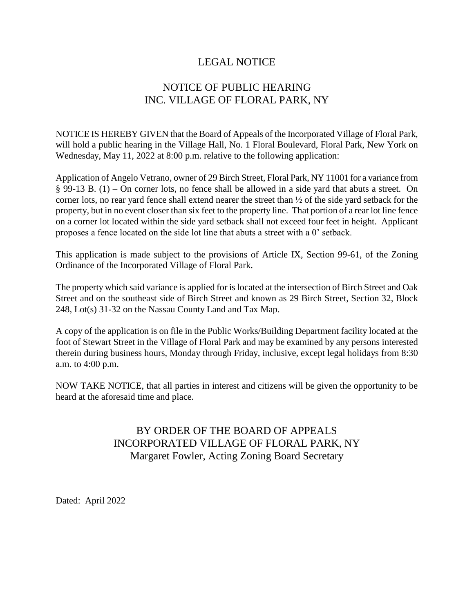## NOTICE OF PUBLIC HEARING INC. VILLAGE OF FLORAL PARK, NY

NOTICE IS HEREBY GIVEN that the Board of Appeals of the Incorporated Village of Floral Park, will hold a public hearing in the Village Hall, No. 1 Floral Boulevard, Floral Park, New York on Wednesday, May 11, 2022 at 8:00 p.m. relative to the following application:

Application of Angelo Vetrano, owner of 29 Birch Street, Floral Park, NY 11001 for a variance from § 99-13 B. (1) – On corner lots, no fence shall be allowed in a side yard that abuts a street. On corner lots, no rear yard fence shall extend nearer the street than ½ of the side yard setback for the property, but in no event closer than six feet to the property line. That portion of a rear lot line fence on a corner lot located within the side yard setback shall not exceed four feet in height. Applicant proposes a fence located on the side lot line that abuts a street with a 0' setback.

This application is made subject to the provisions of Article IX, Section 99-61, of the Zoning Ordinance of the Incorporated Village of Floral Park.

The property which said variance is applied for is located at the intersection of Birch Street and Oak Street and on the southeast side of Birch Street and known as 29 Birch Street, Section 32, Block 248, Lot(s) 31-32 on the Nassau County Land and Tax Map.

A copy of the application is on file in the Public Works/Building Department facility located at the foot of Stewart Street in the Village of Floral Park and may be examined by any persons interested therein during business hours, Monday through Friday, inclusive, except legal holidays from 8:30 a.m. to 4:00 p.m.

NOW TAKE NOTICE, that all parties in interest and citizens will be given the opportunity to be heard at the aforesaid time and place.

## BY ORDER OF THE BOARD OF APPEALS INCORPORATED VILLAGE OF FLORAL PARK, NY Margaret Fowler, Acting Zoning Board Secretary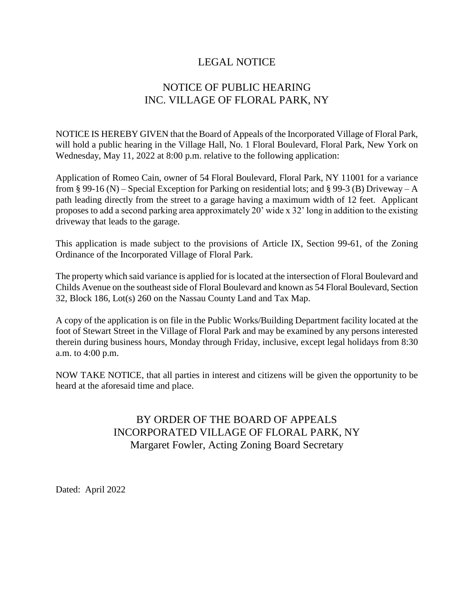## NOTICE OF PUBLIC HEARING INC. VILLAGE OF FLORAL PARK, NY

NOTICE IS HEREBY GIVEN that the Board of Appeals of the Incorporated Village of Floral Park, will hold a public hearing in the Village Hall, No. 1 Floral Boulevard, Floral Park, New York on Wednesday, May 11, 2022 at 8:00 p.m. relative to the following application:

Application of Romeo Cain, owner of 54 Floral Boulevard, Floral Park, NY 11001 for a variance from § 99-16 (N) – Special Exception for Parking on residential lots; and § 99-3 (B) Driveway – A path leading directly from the street to a garage having a maximum width of 12 feet. Applicant proposes to add a second parking area approximately 20' wide x 32' long in addition to the existing driveway that leads to the garage.

This application is made subject to the provisions of Article IX, Section 99-61, of the Zoning Ordinance of the Incorporated Village of Floral Park.

The property which said variance is applied for is located at the intersection of Floral Boulevard and Childs Avenue on the southeast side of Floral Boulevard and known as 54 Floral Boulevard, Section 32, Block 186, Lot(s) 260 on the Nassau County Land and Tax Map.

A copy of the application is on file in the Public Works/Building Department facility located at the foot of Stewart Street in the Village of Floral Park and may be examined by any persons interested therein during business hours, Monday through Friday, inclusive, except legal holidays from 8:30 a.m. to 4:00 p.m.

NOW TAKE NOTICE, that all parties in interest and citizens will be given the opportunity to be heard at the aforesaid time and place.

## BY ORDER OF THE BOARD OF APPEALS INCORPORATED VILLAGE OF FLORAL PARK, NY Margaret Fowler, Acting Zoning Board Secretary